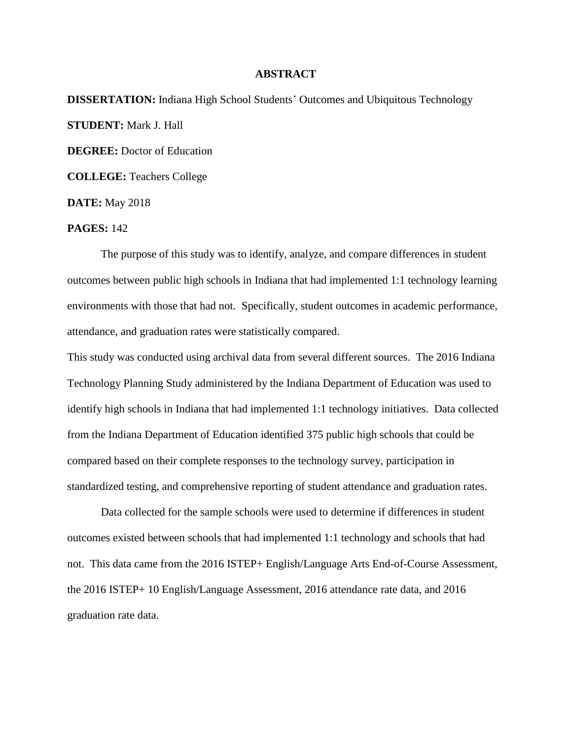## **ABSTRACT**

**DISSERTATION:** Indiana High School Students' Outcomes and Ubiquitous Technology **STUDENT:** Mark J. Hall **DEGREE:** Doctor of Education **COLLEGE:** Teachers College **DATE:** May 2018

## **PAGES:** 142

The purpose of this study was to identify, analyze, and compare differences in student outcomes between public high schools in Indiana that had implemented 1:1 technology learning environments with those that had not. Specifically, student outcomes in academic performance, attendance, and graduation rates were statistically compared.

This study was conducted using archival data from several different sources. The 2016 Indiana Technology Planning Study administered by the Indiana Department of Education was used to identify high schools in Indiana that had implemented 1:1 technology initiatives. Data collected from the Indiana Department of Education identified 375 public high schools that could be compared based on their complete responses to the technology survey, participation in standardized testing, and comprehensive reporting of student attendance and graduation rates.

Data collected for the sample schools were used to determine if differences in student outcomes existed between schools that had implemented 1:1 technology and schools that had not. This data came from the 2016 ISTEP+ English/Language Arts End-of-Course Assessment, the 2016 ISTEP+ 10 English/Language Assessment, 2016 attendance rate data, and 2016 graduation rate data.